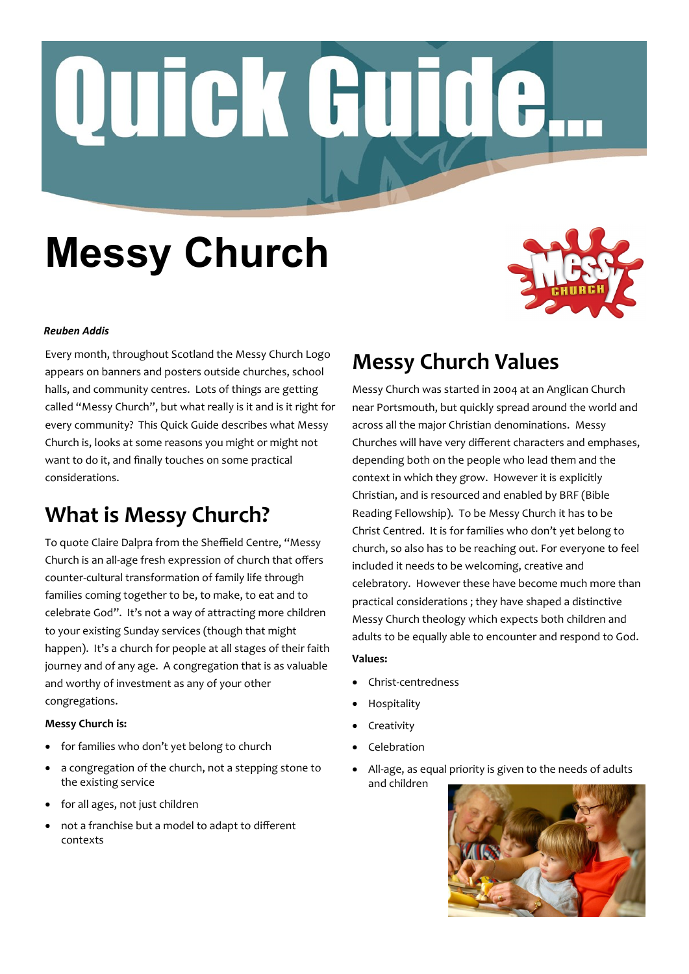# Quick Guide.

# **Messy Church**



### *Reuben Addis*

Every month, throughout Scotland the Messy Church Logo appears on banners and posters outside churches, school halls, and community centres. Lots of things are getting called "Messy Church", but what really is it and is it right for every community? This Quick Guide describes what Messy Church is, looks at some reasons you might or might not want to do it, and finally touches on some practical considerations.

# **What is Messy Church?**

To quote Claire Dalpra from the Sheffield Centre, "Messy Church is an all-age fresh expression of church that offers counter-cultural transformation of family life through families coming together to be, to make, to eat and to celebrate God". It's not a way of attracting more children to your existing Sunday services (though that might happen). It's a church for people at all stages of their faith journey and of any age. A congregation that is as valuable and worthy of investment as any of your other congregations.

### **Messy Church is:**

- for families who don't yet belong to church
- a congregation of the church, not a stepping stone to the existing service
- for all ages, not just children
- not a franchise but a model to adapt to different contexts

# **Messy Church Values**

Messy Church was started in 2004 at an Anglican Church near Portsmouth, but quickly spread around the world and across all the major Christian denominations. Messy Churches will have very different characters and emphases, depending both on the people who lead them and the context in which they grow. However it is explicitly Christian, and is resourced and enabled by BRF (Bible Reading Fellowship). To be Messy Church it has to be Christ Centred. It is for families who don't yet belong to church, so also has to be reaching out. For everyone to feel included it needs to be welcoming, creative and celebratory. However these have become much more than practical considerations ; they have shaped a distinctive Messy Church theology which expects both children and adults to be equally able to encounter and respond to God.

### **Values:**

- Christ-centredness
- Hospitality
- Creativity
- Celebration
- All-age, as equal priority is given to the needs of adults and children

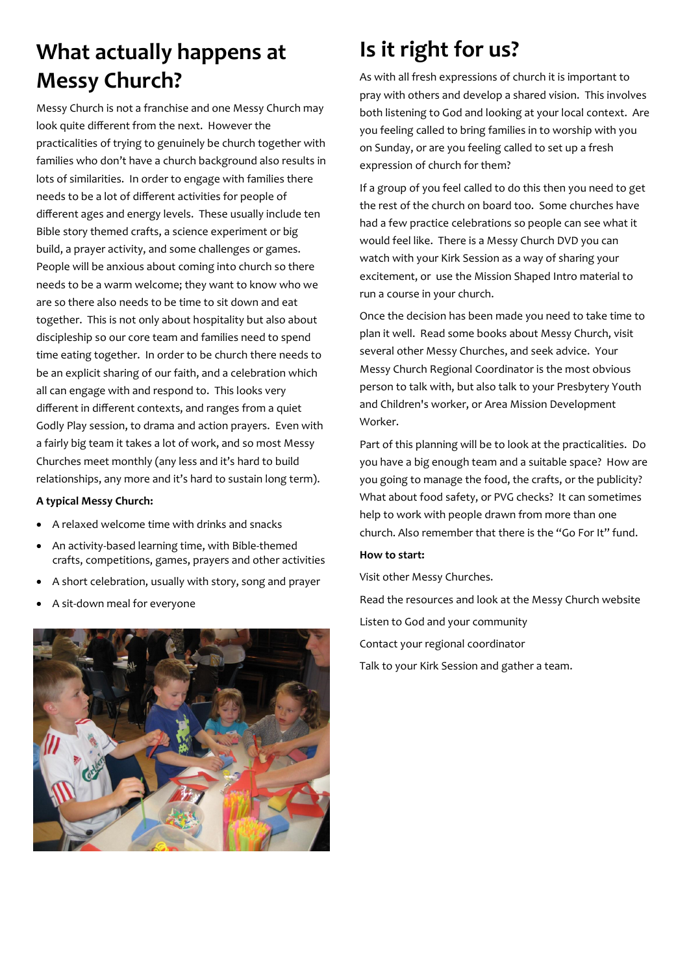# **What actually happens at Messy Church?**

Messy Church is not a franchise and one Messy Church may look quite different from the next. However the practicalities of trying to genuinely be church together with families who don't have a church background also results in lots of similarities. In order to engage with families there needs to be a lot of different activities for people of different ages and energy levels. These usually include ten Bible story themed crafts, a science experiment or big build, a prayer activity, and some challenges or games. People will be anxious about coming into church so there needs to be a warm welcome; they want to know who we are so there also needs to be time to sit down and eat together. This is not only about hospitality but also about discipleship so our core team and families need to spend time eating together. In order to be church there needs to be an explicit sharing of our faith, and a celebration which all can engage with and respond to. This looks very different in different contexts, and ranges from a quiet Godly Play session, to drama and action prayers. Even with a fairly big team it takes a lot of work, and so most Messy Churches meet monthly (any less and it's hard to build relationships, any more and it's hard to sustain long term).

### **A typical Messy Church:**

- A relaxed welcome time with drinks and snacks
- An activity-based learning time, with Bible-themed crafts, competitions, games, prayers and other activities
- A short celebration, usually with story, song and prayer
- A sit-down meal for everyone



# **Is it right for us?**

As with all fresh expressions of church it is important to pray with others and develop a shared vision. This involves both listening to God and looking at your local context. Are you feeling called to bring families in to worship with you on Sunday, or are you feeling called to set up a fresh expression of church for them?

If a group of you feel called to do this then you need to get the rest of the church on board too. Some churches have had a few practice celebrations so people can see what it would feel like. There is a Messy Church DVD you can watch with your Kirk Session as a way of sharing your excitement, or use the Mission Shaped Intro material to run a course in your church.

Once the decision has been made you need to take time to plan it well. Read some books about Messy Church, visit several other Messy Churches, and seek advice. Your Messy Church Regional Coordinator is the most obvious person to talk with, but also talk to your Presbytery Youth and Children's worker, or Area Mission Development Worker.

Part of this planning will be to look at the practicalities. Do you have a big enough team and a suitable space? How are you going to manage the food, the crafts, or the publicity? What about food safety, or PVG checks? It can sometimes help to work with people drawn from more than one church. Also remember that there is the "Go For It" fund.

### **How to start:**

Visit other Messy Churches.

Read the resources and look at the Messy Church website Listen to God and your community Contact your regional coordinator Talk to your Kirk Session and gather a team.